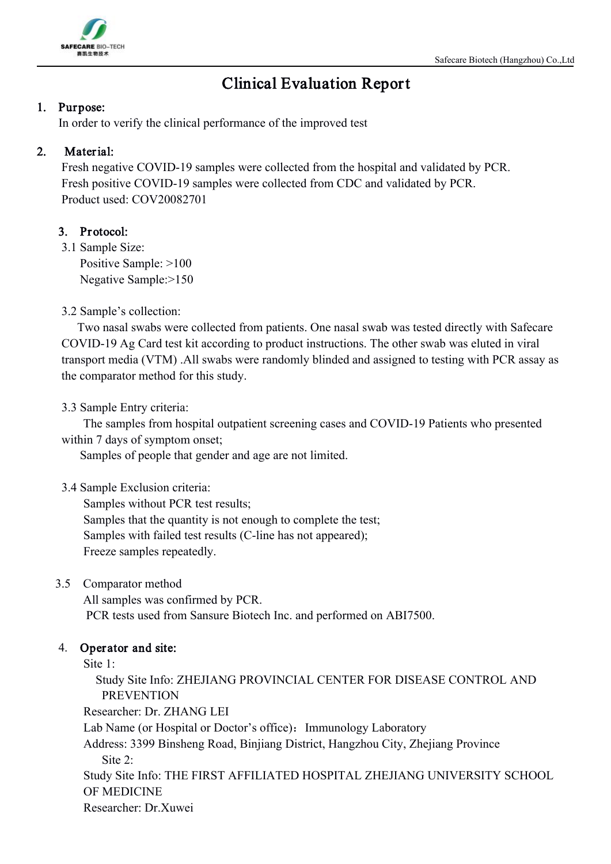

# Clinical Evaluation Report

## 1. Purpose:

In order to verify the clinical performance of the improved test

## 2. Material:

Fresh negative COVID-19 samples were collected from the hospital and validated by PCR. Fresh positive COVID-19 samples were collected from CDC and validated by PCR. Product used: COV20082701

# 3. Protocol:

3.1 Sample Size: Positive Sample: >100 Negative Sample:>150

3.2 Sample's collection:

Two nasal swabs were collected from patients. One nasal swab was tested directly with Safecare COVID-19 Ag Card test kit according to product instructions. The other swab was eluted in viral transport media (VTM) .All swabs were randomly blinded and assigned to testing with PCR assay as the comparator method for this study.

3.3 Sample Entry criteria:

The samples from hospital outpatient screening cases and COVID-19 Patients who presented within 7 days of symptom onset;

Samples of people that gender and age are not limited.

3.4 Sample Exclusion criteria:

Samples without PCR test results; Samples that the quantity is not enough to complete the test; Samples with failed test results (C-line has not appeared); Freeze samples repeatedly.

3.5 Comparator method

All samples was confirmed by PCR. PCR tests used from Sansure Biotech Inc. and performed on ABI7500.

# 4. Operator and site:

Site 1:

Study Site Info: ZHEJIANG PROVINCIAL CENTER FOR DISEASE CONTROL AND PREVENTION

Researcher: Dr. ZHANG LEI

Lab Name (or Hospital or Doctor's office): Immunology Laboratory

Address: 3399 Binsheng Road, Binjiang District, Hangzhou City, Zhejiang Province Site  $2^{\cdot}$ 

Study Site Info: THE FIRST AFFILIATED HOSPITAL ZHEJIANG UNIVERSITY SCHOOL OF MEDICINE

Researcher: Dr.Xuwei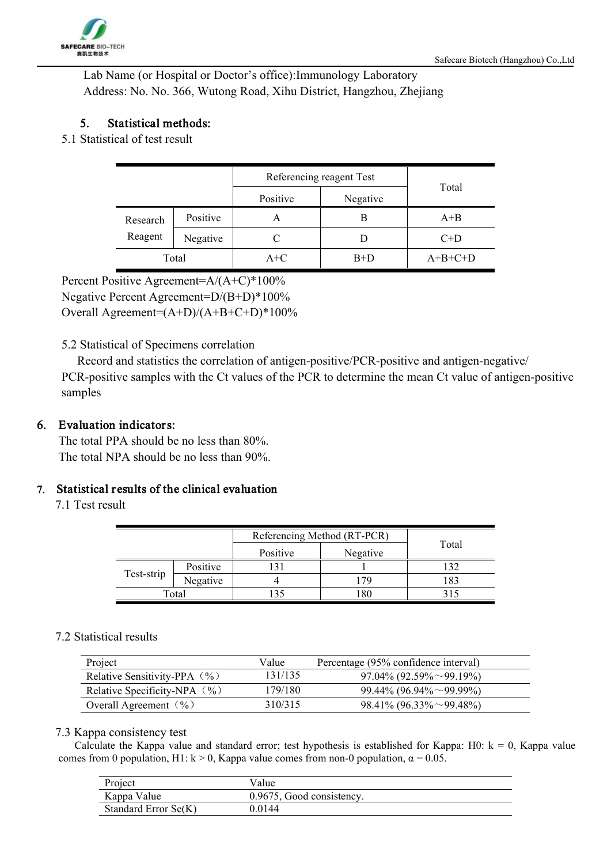Lab Name (or Hospital or Doctor's office):Immunology Laboratory Address: No. No. 366, Wutong Road, Xihu District, Hangzhou, Zhejiang

# 5. Statistical methods:

5.1 Statistical of test result

|          |          |          | Referencing reagent Test |           |  |
|----------|----------|----------|--------------------------|-----------|--|
|          |          | Positive | Negative                 | Total     |  |
| Research | Positive | A        | B                        | $A+B$     |  |
| Reagent  | Negative |          |                          | $C+D$     |  |
|          | Total    | $A+C$    | $B+D$                    | $A+B+C+D$ |  |

Percent Positive Agreement=A/(A+C)\*100%

Negative Percent Agreement=D/(B+D)\*100%

Overall Agreement=(A+D)/(A+B+C+D)\*100%

### 5.2 Statistical of Specimens correlation

Record and statistics the correlation of antigen-positive/PCR-positive and antigen-negative/ PCR-positive samples with the Ct values of the PCR to determine the mean Ct value of antigen-positive samples

## 6. Evaluation indicators:

The total PPA should be no less than 80%. The total NPA should be no less than 90%.

## 7. Statistical r esults of the clinical evaluation

7.1 Test result

|            |          | Referencing Method (RT-PCR) |          |       |
|------------|----------|-----------------------------|----------|-------|
|            |          | Positive                    | Negative | Total |
|            | Positive |                             |          |       |
| Test-strip | Negative |                             | -79      | 18?   |
|            | Total    |                             | 80       |       |

#### 7.2 Statistical results

| Project                          | Value   | Percentage (95% confidence interval) |  |
|----------------------------------|---------|--------------------------------------|--|
| Relative Sensitivity-PPA $(\% )$ | 131/135 | $97.04\%$ (92.59% $\sim$ 99.19%)     |  |
| Relative Specificity-NPA $(\% )$ | 179/180 | $99.44\%$ (96.94% ~ 99.99%)          |  |
| Overall Agreement $(\% )$        | 310/315 | $98.41\% (96.33\% \sim 99.48\%)$     |  |

#### 7.3 Kappa consistency test

Calculate the Kappa value and standard error; test hypothesis is established for Kappa: H0:  $k = 0$ , Kappa value comes from 0 population, H1:  $k > 0$ , Kappa value comes from non-0 population,  $\alpha = 0.05$ .

| Project              | Value                     |
|----------------------|---------------------------|
| Kappa Value          | 0.9675, Good consistency. |
| Standard Error Se(K) | 0 0 1 4 4                 |